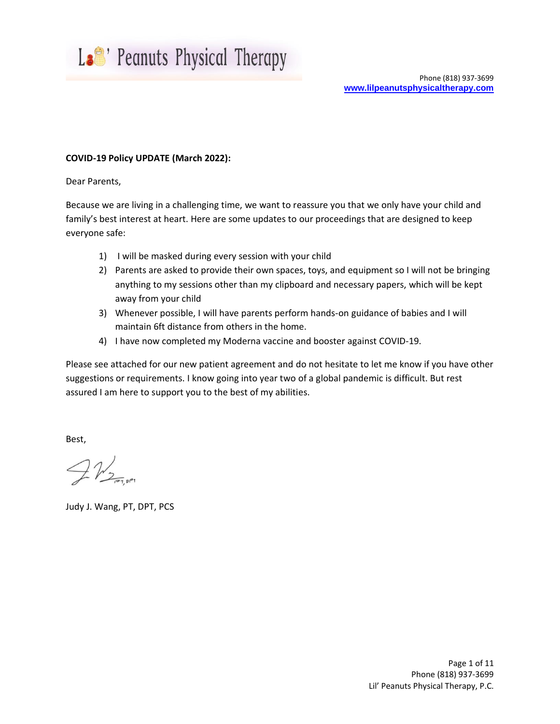

## **COVID-19 Policy UPDATE (March 2022):**

Dear Parents,

Because we are living in a challenging time, we want to reassure you that we only have your child and family's best interest at heart. Here are some updates to our proceedings that are designed to keep everyone safe:

- 1) I will be masked during every session with your child
- 2) Parents are asked to provide their own spaces, toys, and equipment so I will not be bringing anything to my sessions other than my clipboard and necessary papers, which will be kept away from your child
- 3) Whenever possible, I will have parents perform hands-on guidance of babies and I will maintain 6ft distance from others in the home.
- 4) I have now completed my Moderna vaccine and booster against COVID-19.

Please see attached for our new patient agreement and do not hesitate to let me know if you have other suggestions or requirements. I know going into year two of a global pandemic is difficult. But rest assured I am here to support you to the best of my abilities.

Best,

 $TV_{Z_{\text{inter}}}$ 

Judy J. Wang, PT, DPT, PCS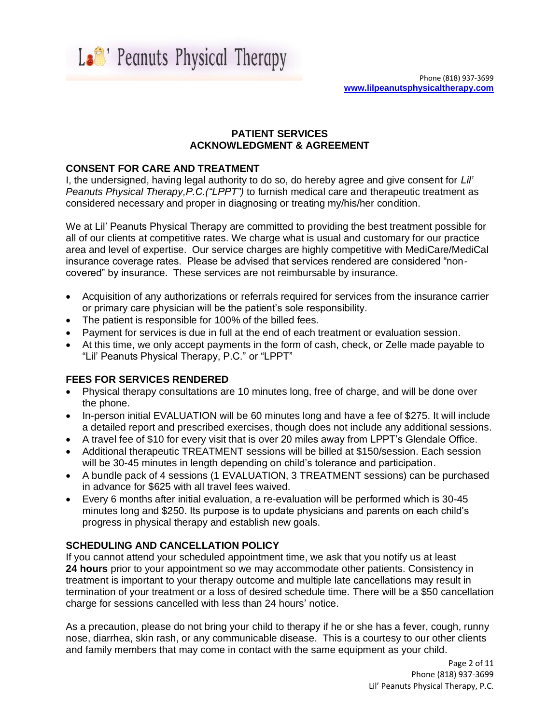La<sup>e</sup>' Peanuts Physical Therapy

## **PATIENT SERVICES ACKNOWLEDGMENT & AGREEMENT**

# **CONSENT FOR CARE AND TREATMENT**

I, the undersigned, having legal authority to do so, do hereby agree and give consent for *Lil' Peanuts Physical Therapy,P.C.("LPPT")* to furnish medical care and therapeutic treatment as considered necessary and proper in diagnosing or treating my/his/her condition.

We at Lil' Peanuts Physical Therapy are committed to providing the best treatment possible for all of our clients at competitive rates. We charge what is usual and customary for our practice area and level of expertise. Our service charges are highly competitive with MediCare/MediCal insurance coverage rates. Please be advised that services rendered are considered "noncovered" by insurance. These services are not reimbursable by insurance.

- Acquisition of any authorizations or referrals required for services from the insurance carrier or primary care physician will be the patient's sole responsibility.
- The patient is responsible for 100% of the billed fees.
- Payment for services is due in full at the end of each treatment or evaluation session.
- At this time, we only accept payments in the form of cash, check, or Zelle made payable to "Lil' Peanuts Physical Therapy, P.C." or "LPPT"

# **FEES FOR SERVICES RENDERED**

- Physical therapy consultations are 10 minutes long, free of charge, and will be done over the phone.
- In-person initial EVALUATION will be 60 minutes long and have a fee of \$275. It will include a detailed report and prescribed exercises, though does not include any additional sessions.
- A travel fee of \$10 for every visit that is over 20 miles away from LPPT's Glendale Office.
- Additional therapeutic TREATMENT sessions will be billed at \$150/session. Each session will be 30-45 minutes in length depending on child's tolerance and participation.
- A bundle pack of 4 sessions (1 EVALUATION, 3 TREATMENT sessions) can be purchased in advance for \$625 with all travel fees waived.
- Every 6 months after initial evaluation, a re-evaluation will be performed which is 30-45 minutes long and \$250. Its purpose is to update physicians and parents on each child's progress in physical therapy and establish new goals.

# **SCHEDULING AND CANCELLATION POLICY**

If you cannot attend your scheduled appointment time, we ask that you notify us at least **24 hours** prior to your appointment so we may accommodate other patients. Consistency in treatment is important to your therapy outcome and multiple late cancellations may result in termination of your treatment or a loss of desired schedule time. There will be a \$50 cancellation charge for sessions cancelled with less than 24 hours' notice.

As a precaution, please do not bring your child to therapy if he or she has a fever, cough, runny nose, diarrhea, skin rash, or any communicable disease. This is a courtesy to our other clients and family members that may come in contact with the same equipment as your child.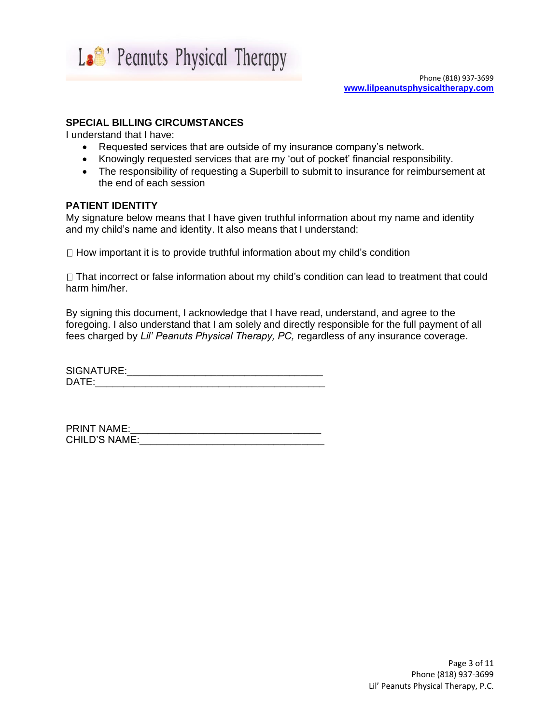

# **SPECIAL BILLING CIRCUMSTANCES**

I understand that I have:

- Requested services that are outside of my insurance company's network.
- Knowingly requested services that are my 'out of pocket' financial responsibility.
- The responsibility of requesting a Superbill to submit to insurance for reimbursement at the end of each session

## **PATIENT IDENTITY**

My signature below means that I have given truthful information about my name and identity and my child's name and identity. It also means that I understand:

 $\Box$  How important it is to provide truthful information about my child's condition

 $\Box$  That incorrect or false information about my child's condition can lead to treatment that could harm him/her.

By signing this document, I acknowledge that I have read, understand, and agree to the foregoing. I also understand that I am solely and directly responsible for the full payment of all fees charged by *Lil' Peanuts Physical Therapy, PC,* regardless of any insurance coverage.

SIGNATURE:\_\_\_\_\_\_\_\_\_\_\_\_\_\_\_\_\_\_\_\_\_\_\_\_\_\_\_\_\_\_\_\_\_\_\_  $\mathsf{DATE}:\mathsf{C} \longrightarrow \mathsf{C}$ 

PRINT NAME:\_\_\_\_\_\_\_\_\_\_\_\_\_\_\_\_\_\_\_\_\_\_\_\_\_\_\_\_\_\_\_\_\_\_ CHILD'S NAME: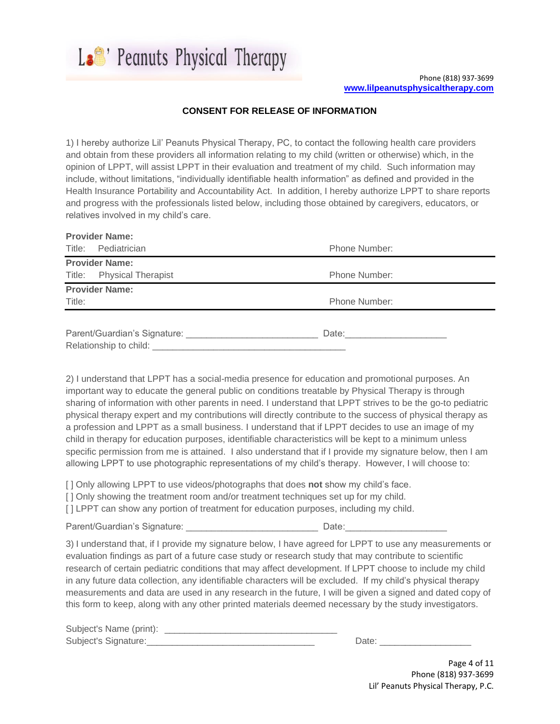La<sup>e</sup>' Peanuts Physical Therapy

## **CONSENT FOR RELEASE OF INFORMATION**

1) I hereby authorize Lil' Peanuts Physical Therapy, PC, to contact the following health care providers and obtain from these providers all information relating to my child (written or otherwise) which, in the opinion of LPPT, will assist LPPT in their evaluation and treatment of my child. Such information may include, without limitations, "individually identifiable health information" as defined and provided in the Health Insurance Portability and Accountability Act. In addition, I hereby authorize LPPT to share reports and progress with the professionals listed below, including those obtained by caregivers, educators, or relatives involved in my child's care.

|                                                                                                                                                                                                                                      | <b>Provider Name:</b>     |                    |  |  |
|--------------------------------------------------------------------------------------------------------------------------------------------------------------------------------------------------------------------------------------|---------------------------|--------------------|--|--|
|                                                                                                                                                                                                                                      | Title: Pediatrician       | Phone Number:      |  |  |
|                                                                                                                                                                                                                                      | <b>Provider Name:</b>     |                    |  |  |
|                                                                                                                                                                                                                                      | Title: Physical Therapist | Phone Number:      |  |  |
|                                                                                                                                                                                                                                      | <b>Provider Name:</b>     |                    |  |  |
| Title:                                                                                                                                                                                                                               |                           | Phone Number:      |  |  |
|                                                                                                                                                                                                                                      |                           |                    |  |  |
|                                                                                                                                                                                                                                      |                           | Date: <u>Date:</u> |  |  |
| Relationship to child: <u>contract and contract and contract and contract and contract and contract and contract and contract and contract and contract and contract and contract and contract and contract and contract and con</u> |                           |                    |  |  |

2) I understand that LPPT has a social-media presence for education and promotional purposes. An important way to educate the general public on conditions treatable by Physical Therapy is through sharing of information with other parents in need. I understand that LPPT strives to be the go-to pediatric physical therapy expert and my contributions will directly contribute to the success of physical therapy as a profession and LPPT as a small business. I understand that if LPPT decides to use an image of my child in therapy for education purposes, identifiable characteristics will be kept to a minimum unless specific permission from me is attained. I also understand that if I provide my signature below, then I am allowing LPPT to use photographic representations of my child's therapy. However, I will choose to:

[ ] Only allowing LPPT to use videos/photographs that does **not** show my child's face.

[ ] Only showing the treatment room and/or treatment techniques set up for my child.

[ ] LPPT can show any portion of treatment for education purposes, including my child.

Parent/Guardian's Signature: \_\_\_\_\_\_\_\_\_\_\_\_\_\_\_\_\_\_\_\_\_\_\_\_\_\_ Date:\_\_\_\_\_\_\_\_\_\_\_\_\_\_\_\_\_\_\_\_

3) I understand that, if I provide my signature below, I have agreed for LPPT to use any measurements or evaluation findings as part of a future case study or research study that may contribute to scientific research of certain pediatric conditions that may affect development. If LPPT choose to include my child in any future data collection, any identifiable characters will be excluded. If my child's physical therapy measurements and data are used in any research in the future, I will be given a signed and dated copy of this form to keep, along with any other printed materials deemed necessary by the study investigators.

| Subject's Name (print): |  |
|-------------------------|--|
| Subject's Signature:    |  |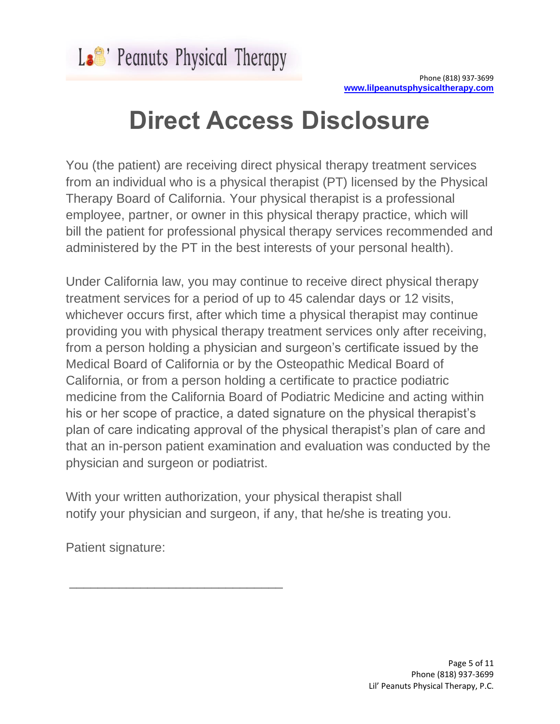# **Direct Access Disclosure**

You (the patient) are receiving direct physical therapy treatment services from an individual who is a physical therapist (PT) licensed by the Physical Therapy Board of California. Your physical therapist is a professional employee, partner, or owner in this physical therapy practice, which will bill the patient for professional physical therapy services recommended and administered by the PT in the best interests of your personal health).

Under California law, you may continue to receive direct physical therapy treatment services for a period of up to 45 calendar days or 12 visits, whichever occurs first, after which time a physical therapist may continue providing you with physical therapy treatment services only after receiving, from a person holding a physician and surgeon's certificate issued by the Medical Board of California or by the Osteopathic Medical Board of California, or from a person holding a certificate to practice podiatric medicine from the California Board of Podiatric Medicine and acting within his or her scope of practice, a dated signature on the physical therapist's plan of care indicating approval of the physical therapist's plan of care and that an in-person patient examination and evaluation was conducted by the physician and surgeon or podiatrist.

With your written authorization, your physical therapist shall notify your physician and surgeon, if any, that he/she is treating you.

Patient signature:

\_\_\_\_\_\_\_\_\_\_\_\_\_\_\_\_\_\_\_\_\_\_\_\_\_\_\_\_\_\_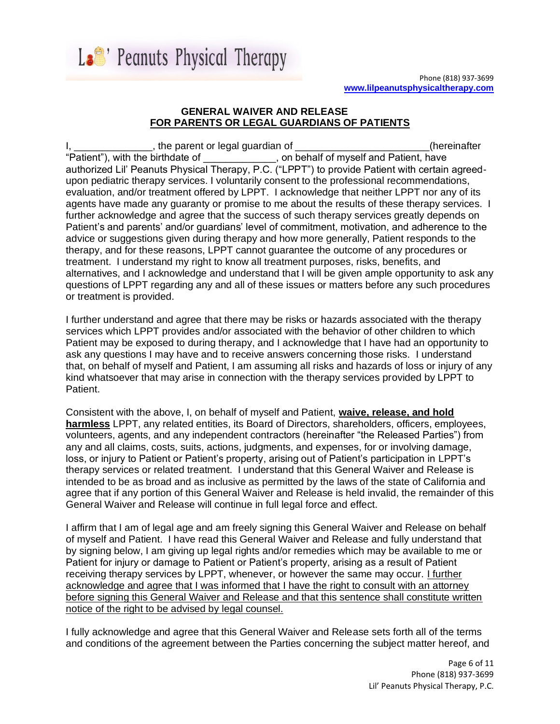

# **GENERAL WAIVER AND RELEASE FOR PARENTS OR LEGAL GUARDIANS OF PATIENTS**

 $\Box$ , the parent or legal guardian of  $\Box$  $\Box$  $\Box$  $\Box$  $\Box$  $\Box$  $\Box$  $\Box$  (hereinafter "Patient"), with the birthdate of  $\qquad \qquad$ , on behalf of myself and Patient, have authorized Lil' Peanuts Physical Therapy, P.C. ("LPPT") to provide Patient with certain agreedupon pediatric therapy services. I voluntarily consent to the professional recommendations, evaluation, and/or treatment offered by LPPT. I acknowledge that neither LPPT nor any of its agents have made any guaranty or promise to me about the results of these therapy services. I further acknowledge and agree that the success of such therapy services greatly depends on Patient's and parents' and/or guardians' level of commitment, motivation, and adherence to the advice or suggestions given during therapy and how more generally, Patient responds to the therapy, and for these reasons, LPPT cannot guarantee the outcome of any procedures or treatment. I understand my right to know all treatment purposes, risks, benefits, and alternatives, and I acknowledge and understand that I will be given ample opportunity to ask any questions of LPPT regarding any and all of these issues or matters before any such procedures or treatment is provided.

I further understand and agree that there may be risks or hazards associated with the therapy services which LPPT provides and/or associated with the behavior of other children to which Patient may be exposed to during therapy, and I acknowledge that I have had an opportunity to ask any questions I may have and to receive answers concerning those risks. I understand that, on behalf of myself and Patient, I am assuming all risks and hazards of loss or injury of any kind whatsoever that may arise in connection with the therapy services provided by LPPT to Patient.

Consistent with the above, I, on behalf of myself and Patient, **waive, release, and hold harmless** LPPT, any related entities, its Board of Directors, shareholders, officers, employees, volunteers, agents, and any independent contractors (hereinafter "the Released Parties") from any and all claims, costs, suits, actions, judgments, and expenses, for or involving damage, loss, or injury to Patient or Patient's property, arising out of Patient's participation in LPPT's therapy services or related treatment. I understand that this General Waiver and Release is intended to be as broad and as inclusive as permitted by the laws of the state of California and agree that if any portion of this General Waiver and Release is held invalid, the remainder of this General Waiver and Release will continue in full legal force and effect.

I affirm that I am of legal age and am freely signing this General Waiver and Release on behalf of myself and Patient. I have read this General Waiver and Release and fully understand that by signing below, I am giving up legal rights and/or remedies which may be available to me or Patient for injury or damage to Patient or Patient's property, arising as a result of Patient receiving therapy services by LPPT, whenever, or however the same may occur. I further acknowledge and agree that I was informed that I have the right to consult with an attorney before signing this General Waiver and Release and that this sentence shall constitute written notice of the right to be advised by legal counsel.

I fully acknowledge and agree that this General Waiver and Release sets forth all of the terms and conditions of the agreement between the Parties concerning the subject matter hereof, and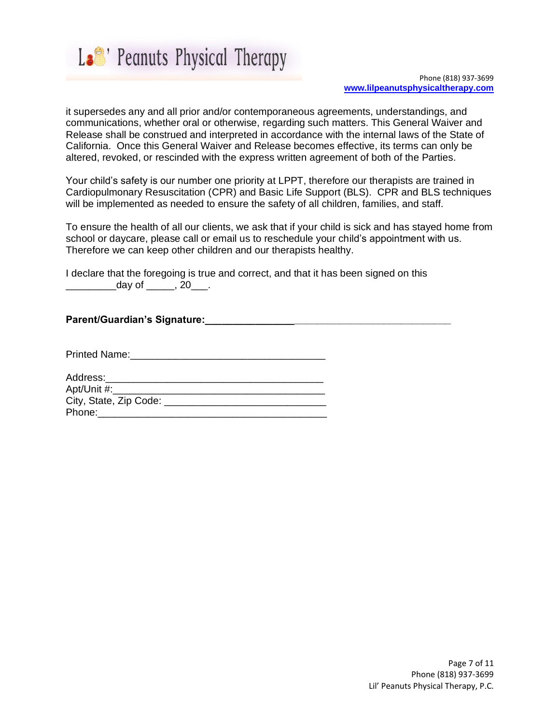

it supersedes any and all prior and/or contemporaneous agreements, understandings, and communications, whether oral or otherwise, regarding such matters. This General Waiver and Release shall be construed and interpreted in accordance with the internal laws of the State of California. Once this General Waiver and Release becomes effective, its terms can only be altered, revoked, or rescinded with the express written agreement of both of the Parties.

Your child's safety is our number one priority at LPPT, therefore our therapists are trained in Cardiopulmonary Resuscitation (CPR) and Basic Life Support (BLS). CPR and BLS techniques will be implemented as needed to ensure the safety of all children, families, and staff.

To ensure the health of all our clients, we ask that if your child is sick and has stayed home from school or daycare, please call or email us to reschedule your child's appointment with us. Therefore we can keep other children and our therapists healthy.

I declare that the foregoing is true and correct, and that it has been signed on this \_\_\_\_\_\_\_\_\_\_\_\_\_\_\_\_\_day of \_\_\_\_\_\_\_, 20\_\_\_\_.

### **Parent/Guardian's Signature:\_\_\_\_\_\_\_\_\_\_\_\_\_\_\_\_\_\_\_\_\_\_\_\_\_\_\_\_\_\_\_\_\_\_\_\_\_\_\_\_\_\_\_\_**

Printed Name:

| Address:               |  |
|------------------------|--|
| Apt/Unit #:            |  |
| City, State, Zip Code: |  |
| Phone:                 |  |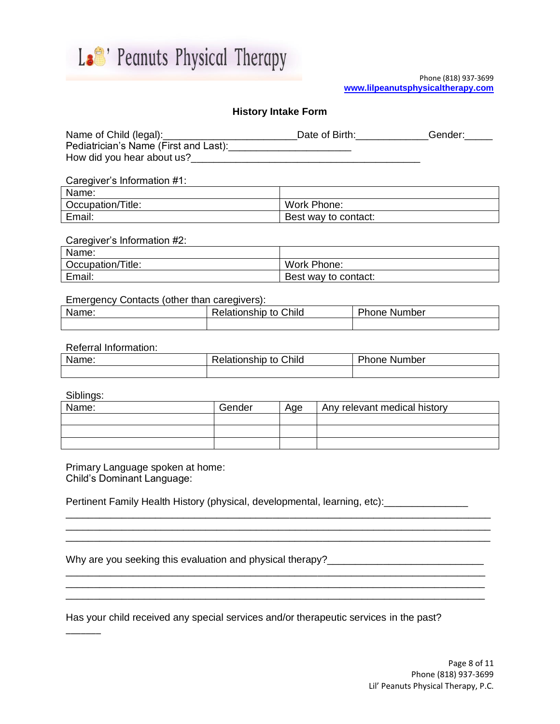

#### Phone (818) 937-3699 **[www.lilpeanutsphysicaltherapy.com](http://www.lilpeanutsphysicaltherapy.com/)**

## **History Intake Form**

| Name of Child (legal):                | Date of Birth: | Gender: |
|---------------------------------------|----------------|---------|
| Pediatrician's Name (First and Last): |                |         |
| How did you hear about us?            |                |         |

#### Caregiver's Information #1:

| Name:             |                      |
|-------------------|----------------------|
| Occupation/Title: | Work Phone:          |
| Email:            | Best way to contact: |

#### Caregiver's Information #2:

| Name:             |                      |
|-------------------|----------------------|
| Occupation/Title: | Work Phone:          |
| Email:            | Best way to contact: |

#### Emergency Contacts (other than caregivers):

| Name: | Child<br>Relationship<br>to | hone Number' |  |
|-------|-----------------------------|--------------|--|
|       |                             |              |  |

#### Referral Information:

| Name: | to Child<br>≺elationship | Phone<br>. Number |  |
|-------|--------------------------|-------------------|--|
|       |                          |                   |  |

Siblings:

 $\overline{\phantom{a}}$ 

| Name: | Gender<br>Age |  | Any relevant medical history |  |  |
|-------|---------------|--|------------------------------|--|--|
|       |               |  |                              |  |  |
|       |               |  |                              |  |  |
|       |               |  |                              |  |  |

\_\_\_\_\_\_\_\_\_\_\_\_\_\_\_\_\_\_\_\_\_\_\_\_\_\_\_\_\_\_\_\_\_\_\_\_\_\_\_\_\_\_\_\_\_\_\_\_\_\_\_\_\_\_\_\_\_\_\_\_\_\_\_\_\_\_\_\_\_\_\_\_\_\_\_\_

\_\_\_\_\_\_\_\_\_\_\_\_\_\_\_\_\_\_\_\_\_\_\_\_\_\_\_\_\_\_\_\_\_\_\_\_\_\_\_\_\_\_\_\_\_\_\_\_\_\_\_\_\_\_\_\_\_\_\_\_\_\_\_\_\_\_\_\_\_\_\_\_\_\_\_

\_\_\_\_\_\_\_\_\_\_\_\_\_\_\_\_\_\_\_\_\_\_\_\_\_\_\_\_\_\_\_\_\_\_\_\_\_\_\_\_\_\_\_\_\_\_\_\_\_\_\_\_\_\_\_\_\_\_\_\_\_\_\_\_\_\_\_\_\_\_\_\_\_\_\_

Primary Language spoken at home: Child's Dominant Language:

Pertinent Family Health History (physical, developmental, learning, etc): \_\_\_\_\_\_\_\_\_\_\_\_\_

|  |  | Why are you seeking this evaluation and physical therapy? |  |  |
|--|--|-----------------------------------------------------------|--|--|

Has your child received any special services and/or therapeutic services in the past?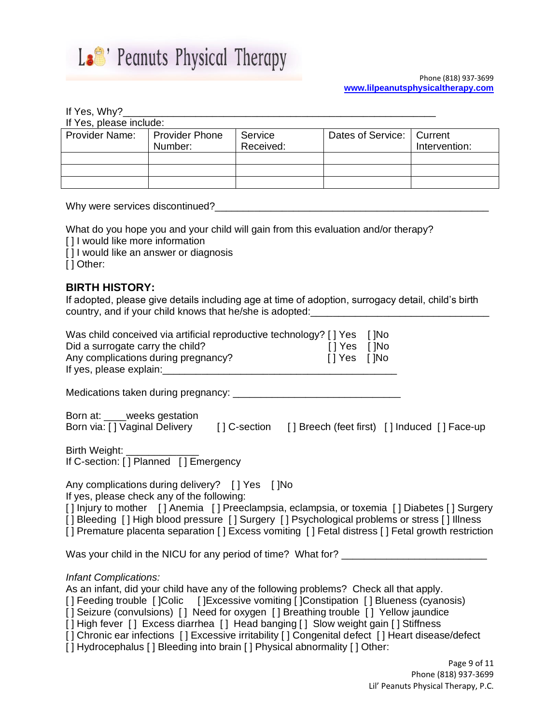

## If Yes, Why?\_

If Yes, please include:

| <b>Provider Name:</b> | Provider Phone<br>Number: | Service<br>Received: | Dates of Service:   Current | Intervention: |  |  |  |  |
|-----------------------|---------------------------|----------------------|-----------------------------|---------------|--|--|--|--|
|                       |                           |                      |                             |               |  |  |  |  |
|                       |                           |                      |                             |               |  |  |  |  |
|                       |                           |                      |                             |               |  |  |  |  |

Why were services discontinued?\_\_\_\_\_\_\_\_\_\_\_\_\_\_\_\_\_\_\_\_\_\_\_\_\_\_\_\_\_\_\_\_\_\_\_\_\_\_\_\_\_\_\_\_\_\_\_\_\_

What do you hope you and your child will gain from this evaluation and/or therapy?

[] I would like more information

[] I would like an answer or diagnosis

[ ] Other:

# **BIRTH HISTORY:**

If adopted, please give details including age at time of adoption, surrogacy detail, child's birth country, and if your child knows that he/she is adopted: \_\_\_\_\_\_\_\_\_\_\_\_\_\_\_\_\_\_\_\_\_\_\_

| Was child conceived via artificial reproductive technology? [] Yes [] No<br>Did a surrogate carry the child?<br>Any complications during pregnancy?                                                                                                                                                                                                                                               | [] Yes []No<br>[] Yes []No | $[$   Yes $[$   No |  |
|---------------------------------------------------------------------------------------------------------------------------------------------------------------------------------------------------------------------------------------------------------------------------------------------------------------------------------------------------------------------------------------------------|----------------------------|--------------------|--|
|                                                                                                                                                                                                                                                                                                                                                                                                   |                            |                    |  |
| Born at: ___weeks gestation<br>Born via: [] Vaginal Delivery [] C-section [] Breech (feet first) [] Induced [] Face-up                                                                                                                                                                                                                                                                            |                            |                    |  |
| Birth Weight: ______________<br>If C-section: [] Planned [] Emergency                                                                                                                                                                                                                                                                                                                             |                            |                    |  |
| Any complications during delivery? [] Yes [] No<br>If yes, please check any of the following:<br>[] Injury to mother [] Anemia [] Preeclampsia, eclampsia, or toxemia [] Diabetes [] Surgery<br>[] Bleeding [] High blood pressure [] Surgery [] Psychological problems or stress [] Illness<br>[] Premature placenta separation [] Excess vomiting [] Fetal distress [] Fetal growth restriction |                            |                    |  |
| Was your child in the NICU for any period of time? What for? ___________________                                                                                                                                                                                                                                                                                                                  |                            |                    |  |
| <b>Infant Complications:</b><br>As an infant, did your child have any of the following problems? Check all that apply.<br>[] Feeding trouble [] Colic [] Excessive vomiting [] Constipation [] Blueness (cyanosis)<br>[] Seizure (convulsions) [] Need for oxygen [] Breathing trouble [] Yellow jaundice                                                                                         |                            |                    |  |

[] High fever [] Excess diarrhea [] Head banging [] Slow weight gain [] Stiffness

[] Chronic ear infections [] Excessive irritability [] Congenital defect [] Heart disease/defect

[] Hydrocephalus [] Bleeding into brain [] Physical abnormality [] Other: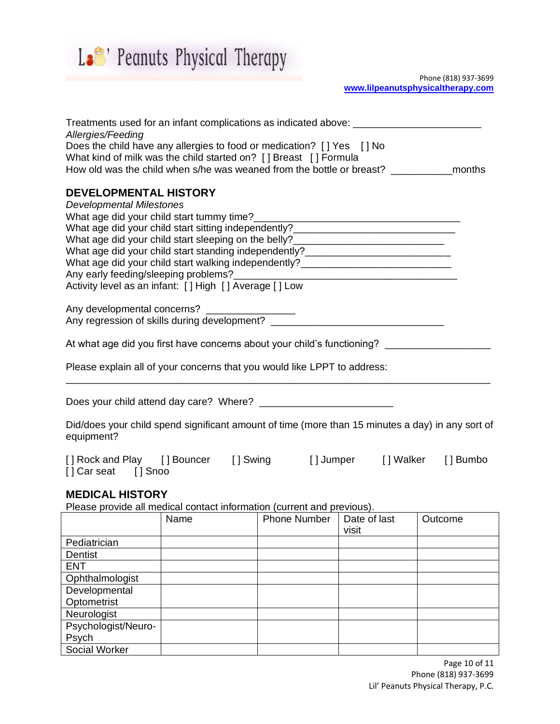

Phone (818) 937-3699 **[www.lilpeanutsphysicaltherapy.com](http://www.lilpeanutsphysicaltherapy.com/)**

| Treatments used for an infant complications as indicated above: _________________                              |  |  |  |
|----------------------------------------------------------------------------------------------------------------|--|--|--|
| Allergies/Feeding                                                                                              |  |  |  |
| Does the child have any allergies to food or medication? [] Yes [] No                                          |  |  |  |
| What kind of milk was the child started on? [] Breast [] Formula                                               |  |  |  |
| How old was the child when s/he was weaned from the bottle or breast? The months                               |  |  |  |
| <b>DEVELOPMENTAL HISTORY</b>                                                                                   |  |  |  |
| <b>Developmental Milestones</b>                                                                                |  |  |  |
|                                                                                                                |  |  |  |
|                                                                                                                |  |  |  |
| What age did your child start sleeping on the belly?____________________________                               |  |  |  |
| What age did your child start standing independently?___________________________                               |  |  |  |
| What age did your child start walking independently? ___________________________                               |  |  |  |
|                                                                                                                |  |  |  |
| Activity level as an infant: [] High [] Average [] Low                                                         |  |  |  |
|                                                                                                                |  |  |  |
|                                                                                                                |  |  |  |
|                                                                                                                |  |  |  |
| At what age did you first have concerns about your child's functioning? _________                              |  |  |  |
| Please explain all of your concerns that you would like LPPT to address:                                       |  |  |  |
|                                                                                                                |  |  |  |
|                                                                                                                |  |  |  |
| Did/does your child spend significant amount of time (more than 15 minutes a day) in any sort of<br>equipment? |  |  |  |
| [] Rock and Play [] Bouncer [] Swing [] Jumper [] Walker [] Bumbo<br>[] Car seat [] Snoo                       |  |  |  |

# **MEDICAL HISTORY**

Please provide all medical contact information (current and previous).

|                |                     | Name | <b>Phone Number</b> | Date of last | Outcome |
|----------------|---------------------|------|---------------------|--------------|---------|
|                |                     |      |                     | visit        |         |
| Pediatrician   |                     |      |                     |              |         |
| <b>Dentist</b> |                     |      |                     |              |         |
| <b>ENT</b>     |                     |      |                     |              |         |
|                | Ophthalmologist     |      |                     |              |         |
| Developmental  |                     |      |                     |              |         |
| Optometrist    |                     |      |                     |              |         |
| Neurologist    |                     |      |                     |              |         |
|                | Psychologist/Neuro- |      |                     |              |         |
| Psych          |                     |      |                     |              |         |
| Social Worker  |                     |      |                     |              |         |